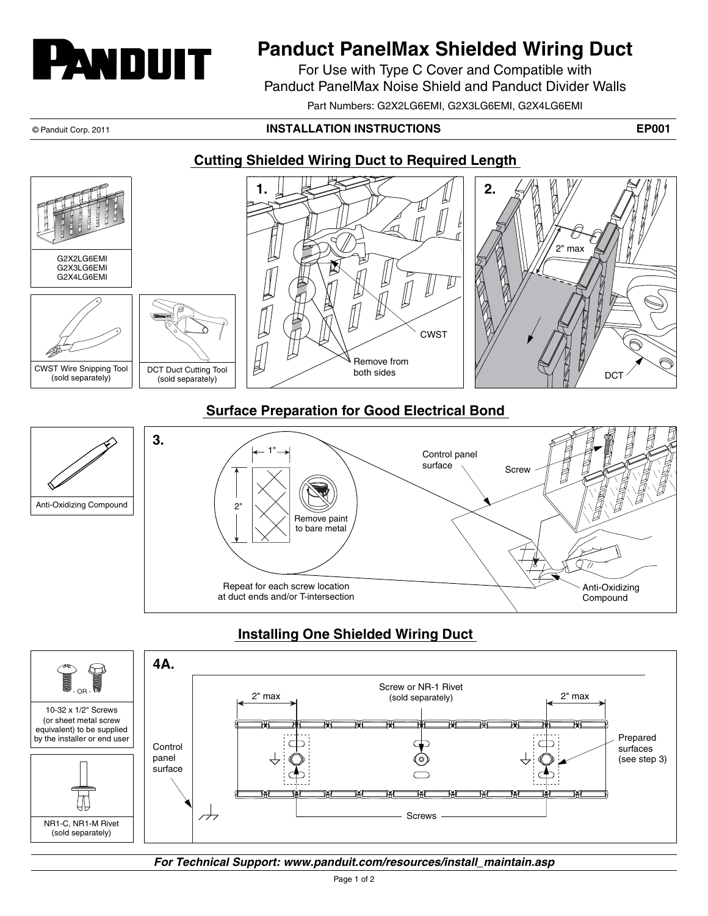

# **Panduct PanelMax Shielded Wiring Duct**

For Use with Type C Cover and Compatible with Panduct PanelMax Noise Shield and Panduct Divider Walls

Part Numbers: G2X2LG6EMI, G2X3LG6EMI, G2X4LG6EMI

#### © Panduit Corp. 2011 **INSTALLATION INSTRUCTIONS EP001**

Compound

### **Cutting Shielded Wiring Duct to Required Length**



## **Installing One Shielded Wiring Duct**

at duct ends and/or T-intersection



*For Technical Support: www.panduit.com/resources/install\_maintain.asp*